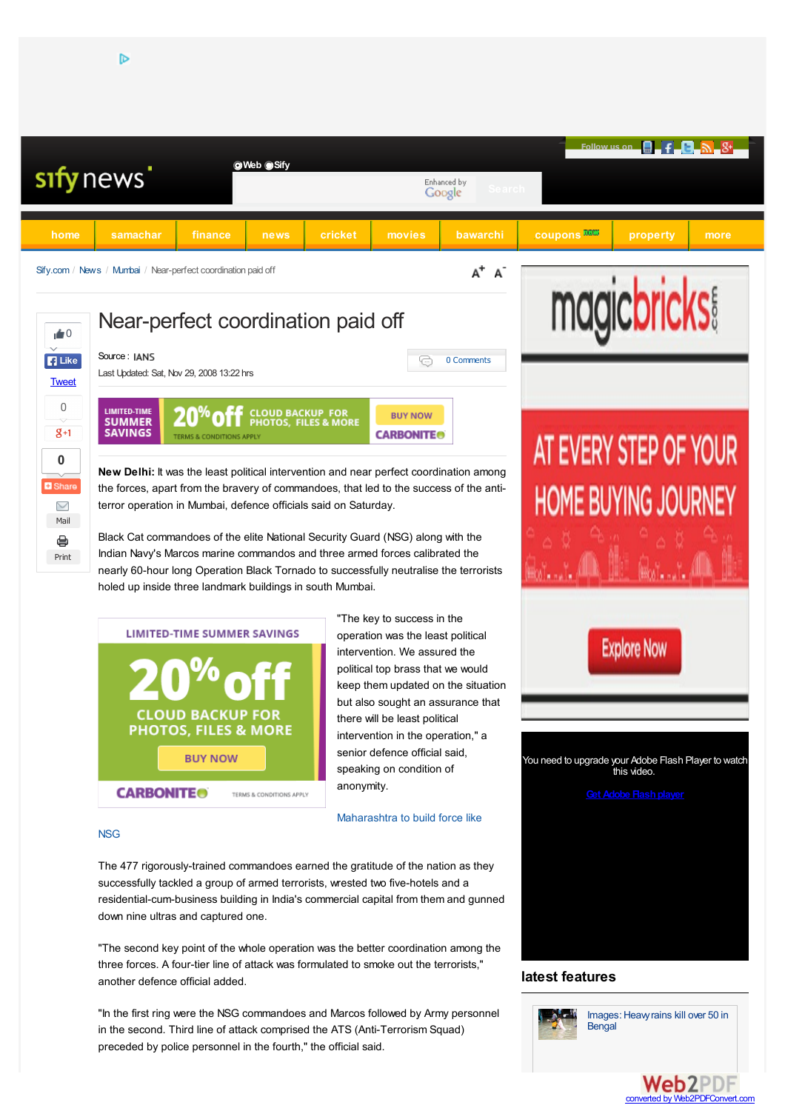



"The key to success in the operation was the least political intervention. We assured the political top brass that we would keep them updated on the situation but also sought an assurance that there will be least political intervention in the operation," a senior defence official said, speaking on condition of anonymity.

Maharashtra to build force like

# **NSG**

The 477 rigorously-trained commandoes earned the gratitude of the nation as they successfully tackled a group of armed terrorists, wrested two five-hotels and a residential-cum-business building in India's commercial capital from them and gunned down nine ultras and captured one.

"The second key point of the whole operation was the better coordination among the three forces. A four-tier line of attack was formulated to smoke out the terrorists," another defence official added.

"In the first ring were the NSG commandoes and Marcos followed by Army personnel in the second. Third line of attack comprised the ATS (Anti-Terrorism Squad) preceded by police personnel in the fourth," the official said.

You need to upgrade your Adobe Flash Player to watch this video.

**Explore Now** 

# Images: Heavy rains kill over 50 in Bengal

converted by Web2PDFConvert.com

**Web2PDF** 

**latest features**